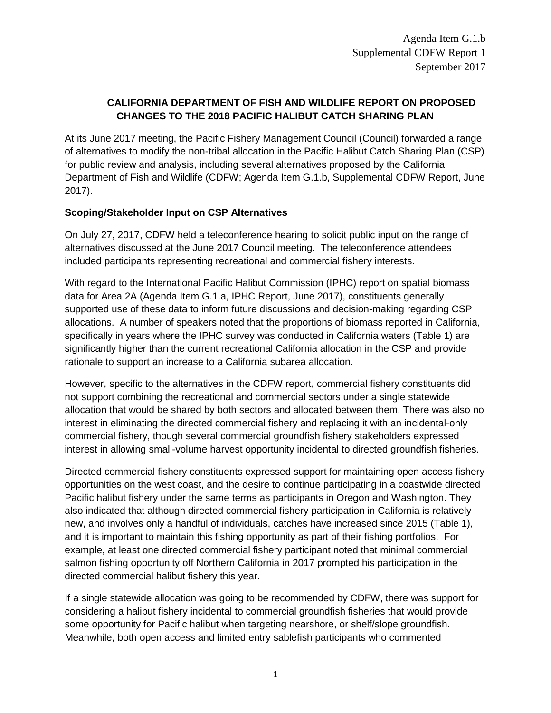# **CALIFORNIA DEPARTMENT OF FISH AND WILDLIFE REPORT ON PROPOSED CHANGES TO THE 2018 PACIFIC HALIBUT CATCH SHARING PLAN**

At its June 2017 meeting, the Pacific Fishery Management Council (Council) forwarded a range of alternatives to modify the non-tribal allocation in the Pacific Halibut Catch Sharing Plan (CSP) for public review and analysis, including several alternatives proposed by the California Department of Fish and Wildlife (CDFW; Agenda Item G.1.b, Supplemental CDFW Report, June 2017).

#### **Scoping/Stakeholder Input on CSP Alternatives**

On July 27, 2017, CDFW held a teleconference hearing to solicit public input on the range of alternatives discussed at the June 2017 Council meeting. The teleconference attendees included participants representing recreational and commercial fishery interests.

With regard to the International Pacific Halibut Commission (IPHC) report on spatial biomass data for Area 2A (Agenda Item G.1.a, IPHC Report, June 2017), constituents generally supported use of these data to inform future discussions and decision-making regarding CSP allocations. A number of speakers noted that the proportions of biomass reported in California, specifically in years where the IPHC survey was conducted in California waters (Table 1) are significantly higher than the current recreational California allocation in the CSP and provide rationale to support an increase to a California subarea allocation.

However, specific to the alternatives in the CDFW report, commercial fishery constituents did not support combining the recreational and commercial sectors under a single statewide allocation that would be shared by both sectors and allocated between them. There was also no interest in eliminating the directed commercial fishery and replacing it with an incidental-only commercial fishery, though several commercial groundfish fishery stakeholders expressed interest in allowing small-volume harvest opportunity incidental to directed groundfish fisheries.

Directed commercial fishery constituents expressed support for maintaining open access fishery opportunities on the west coast, and the desire to continue participating in a coastwide directed Pacific halibut fishery under the same terms as participants in Oregon and Washington. They also indicated that although directed commercial fishery participation in California is relatively new, and involves only a handful of individuals, catches have increased since 2015 (Table 1), and it is important to maintain this fishing opportunity as part of their fishing portfolios. For example, at least one directed commercial fishery participant noted that minimal commercial salmon fishing opportunity off Northern California in 2017 prompted his participation in the directed commercial halibut fishery this year.

If a single statewide allocation was going to be recommended by CDFW, there was support for considering a halibut fishery incidental to commercial groundfish fisheries that would provide some opportunity for Pacific halibut when targeting nearshore, or shelf/slope groundfish. Meanwhile, both open access and limited entry sablefish participants who commented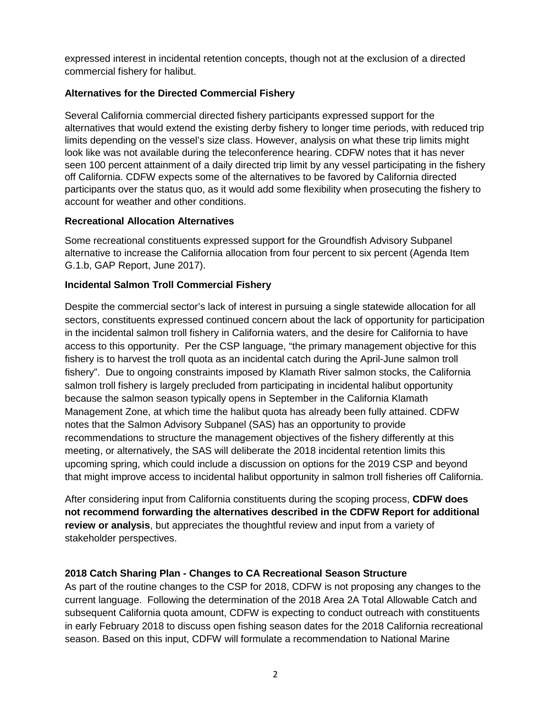expressed interest in incidental retention concepts, though not at the exclusion of a directed commercial fishery for halibut.

## **Alternatives for the Directed Commercial Fishery**

Several California commercial directed fishery participants expressed support for the alternatives that would extend the existing derby fishery to longer time periods, with reduced trip limits depending on the vessel's size class. However, analysis on what these trip limits might look like was not available during the teleconference hearing. CDFW notes that it has never seen 100 percent attainment of a daily directed trip limit by any vessel participating in the fishery off California. CDFW expects some of the alternatives to be favored by California directed participants over the status quo, as it would add some flexibility when prosecuting the fishery to account for weather and other conditions.

## **Recreational Allocation Alternatives**

Some recreational constituents expressed support for the Groundfish Advisory Subpanel alternative to increase the California allocation from four percent to six percent (Agenda Item G.1.b, GAP Report, June 2017).

## **Incidental Salmon Troll Commercial Fishery**

Despite the commercial sector's lack of interest in pursuing a single statewide allocation for all sectors, constituents expressed continued concern about the lack of opportunity for participation in the incidental salmon troll fishery in California waters, and the desire for California to have access to this opportunity. Per the CSP language, "the primary management objective for this fishery is to harvest the troll quota as an incidental catch during the April-June salmon troll fishery". Due to ongoing constraints imposed by Klamath River salmon stocks, the California salmon troll fishery is largely precluded from participating in incidental halibut opportunity because the salmon season typically opens in September in the California Klamath Management Zone, at which time the halibut quota has already been fully attained. CDFW notes that the Salmon Advisory Subpanel (SAS) has an opportunity to provide recommendations to structure the management objectives of the fishery differently at this meeting, or alternatively, the SAS will deliberate the 2018 incidental retention limits this upcoming spring, which could include a discussion on options for the 2019 CSP and beyond that might improve access to incidental halibut opportunity in salmon troll fisheries off California.

After considering input from California constituents during the scoping process, **CDFW does not recommend forwarding the alternatives described in the CDFW Report for additional review or analysis**, but appreciates the thoughtful review and input from a variety of stakeholder perspectives.

## **2018 Catch Sharing Plan - Changes to CA Recreational Season Structure**

As part of the routine changes to the CSP for 2018, CDFW is not proposing any changes to the current language. Following the determination of the 2018 Area 2A Total Allowable Catch and subsequent California quota amount, CDFW is expecting to conduct outreach with constituents in early February 2018 to discuss open fishing season dates for the 2018 California recreational season. Based on this input, CDFW will formulate a recommendation to National Marine